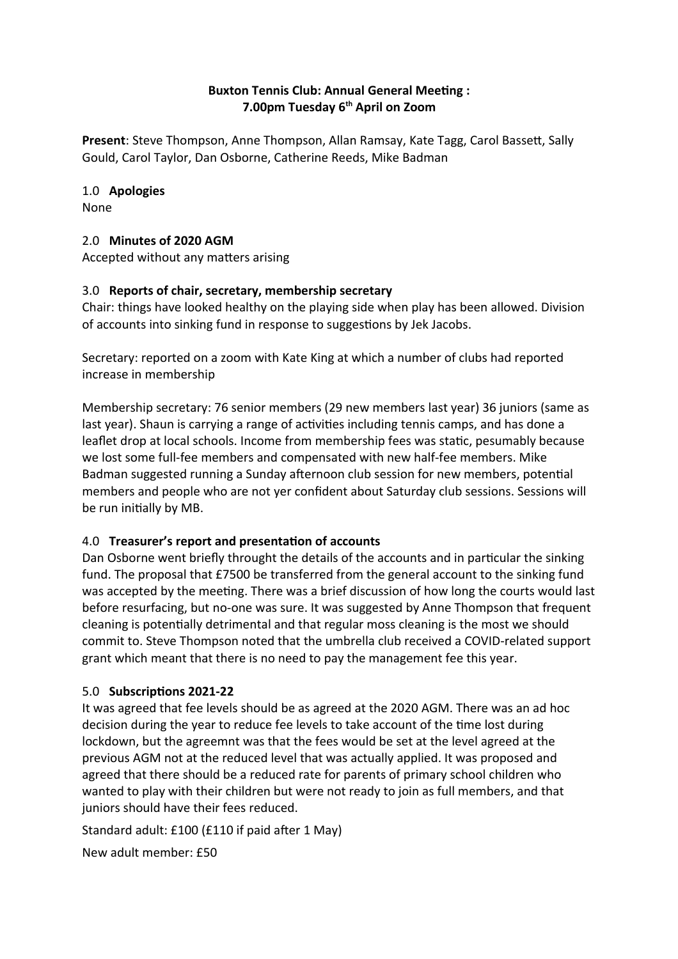### **Buxton Tennis Club: Annual General Meetng : 7.00pm Tuesday 6th April on Zoom**

**Present**: Steve Thompson, Anne Thompson, Allan Ramsay, Kate Tagg, Carol Basset, Sally Gould, Carol Taylor, Dan Osborne, Catherine Reeds, Mike Badman

## 1.0 **Apologies**

None

## 2.0 **Minutes of 2020 AGM**

Accepted without any matters arising

## 3.0 **Reports of chair, secretary, membership secretary**

Chair: things have looked healthy on the playing side when play has been allowed. Division of accounts into sinking fund in response to suggestons by Jek Jacobs.

Secretary: reported on a zoom with Kate King at which a number of clubs had reported increase in membership

Membership secretary: 76 senior members (29 new members last year) 36 juniors (same as last year). Shaun is carrying a range of activities including tennis camps, and has done a leaflet drop at local schools. Income from membership fees was static, pesumably because we lost some full-fee members and compensated with new half-fee members. Mike Badman suggested running a Sunday afernoon club session for new members, potental members and people who are not yer confdent about Saturday club sessions. Sessions will be run initally by MB.

# 4.0 **Treasurer's report and presentaton of accounts**

Dan Osborne went briefly throught the details of the accounts and in particular the sinking fund. The proposal that £7500 be transferred from the general account to the sinking fund was accepted by the meeting. There was a brief discussion of how long the courts would last before resurfacing, but no-one was sure. It was suggested by Anne Thompson that frequent cleaning is potentally detrimental and that regular moss cleaning is the most we should commit to. Steve Thompson noted that the umbrella club received a COVID-related support grant which meant that there is no need to pay the management fee this year.

# 5.0 **Subscriptons 2021-22**

It was agreed that fee levels should be as agreed at the 2020 AGM. There was an ad hoc decision during the year to reduce fee levels to take account of the tme lost during lockdown, but the agreemnt was that the fees would be set at the level agreed at the previous AGM not at the reduced level that was actually applied. It was proposed and agreed that there should be a reduced rate for parents of primary school children who wanted to play with their children but were not ready to join as full members, and that juniors should have their fees reduced.

Standard adult: £100 (£110 if paid after 1 May)

New adult member: £50